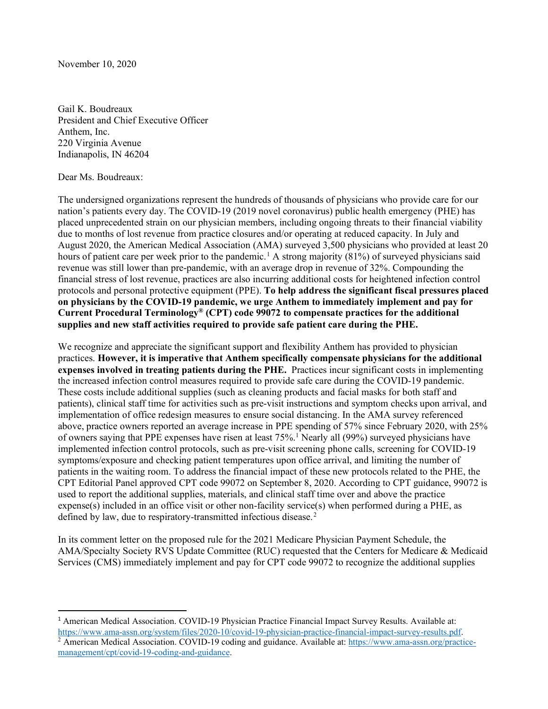November 10, 2020

Gail K. Boudreaux President and Chief Executive Officer Anthem, Inc. 220 Virginia Avenue Indianapolis, IN 46204

## Dear Ms. Boudreaux:

The undersigned organizations represent the hundreds of thousands of physicians who provide care for our nation's patients every day. The COVID-19 (2019 novel coronavirus) public health emergency (PHE) has placed unprecedented strain on our physician members, including ongoing threats to their financial viability due to months of lost revenue from practice closures and/or operating at reduced capacity. In July and August 2020, the American Medical Association (AMA) surveyed 3,500 physicians who provided at least 20 hours of patient care per week prior to the pandemic.<sup>[1](#page-0-0)</sup> A strong majority (81%) of surveyed physicians said revenue was still lower than pre-pandemic, with an average drop in revenue of 32%. Compounding the financial stress of lost revenue, practices are also incurring additional costs for heightened infection control protocols and personal protective equipment (PPE). **To help address the significant fiscal pressures placed on physicians by the COVID-19 pandemic, we urge Anthem to immediately implement and pay for Current Procedural Terminology® (CPT) code 99072 to compensate practices for the additional supplies and new staff activities required to provide safe patient care during the PHE.**

We recognize and appreciate the significant support and flexibility Anthem has provided to physician practices. **However, it is imperative that Anthem specifically compensate physicians for the additional expenses involved in treating patients during the PHE.** Practices incur significant costs in implementing the increased infection control measures required to provide safe care during the COVID-19 pandemic. These costs include additional supplies (such as cleaning products and facial masks for both staff and patients), clinical staff time for activities such as pre-visit instructions and symptom checks upon arrival, and implementation of office redesign measures to ensure social distancing. In the AMA survey referenced above, practice owners reported an average increase in PPE spending of 57% since February 2020, with 25% of owners saying that PPE expenses have risen at least 75%.1 Nearly all (99%) surveyed physicians have implemented infection control protocols, such as pre-visit screening phone calls, screening for COVID-19 symptoms/exposure and checking patient temperatures upon office arrival, and limiting the number of patients in the waiting room. To address the financial impact of these new protocols related to the PHE, the CPT Editorial Panel approved CPT code 99072 on September 8, 2020. According to CPT guidance, 99072 is used to report the additional supplies, materials, and clinical staff time over and above the practice expense(s) included in an office visit or other non-facility service(s) when performed during a PHE, as defined by law, due to respiratory-transmitted infectious disease.<sup>[2](#page-0-1)</sup>

In its comment letter on the proposed rule for the 2021 Medicare Physician Payment Schedule, the AMA/Specialty Society RVS Update Committee (RUC) requested that the Centers for Medicare & Medicaid Services (CMS) immediately implement and pay for CPT code 99072 to recognize the additional supplies

<span id="page-0-0"></span><sup>1</sup> American Medical Association. COVID-19 Physician Practice Financial Impact Survey Results. Available at: [https://www.ama-assn.org/system/files/2020-10/covid-19-physician-practice-financial-impact-survey-results.pdf.](https://www.ama-assn.org/system/files/2020-10/covid-19-physician-practice-financial-impact-survey-results.pdf)

<span id="page-0-1"></span><sup>&</sup>lt;sup>2</sup> American Medical Association. COVID-19 coding and guidance. Available at: [https://www.ama-assn.org/practice](https://www.ama-assn.org/practice-management/cpt/covid-19-coding-and-guidance)[management/cpt/covid-19-coding-and-guidance.](https://www.ama-assn.org/practice-management/cpt/covid-19-coding-and-guidance)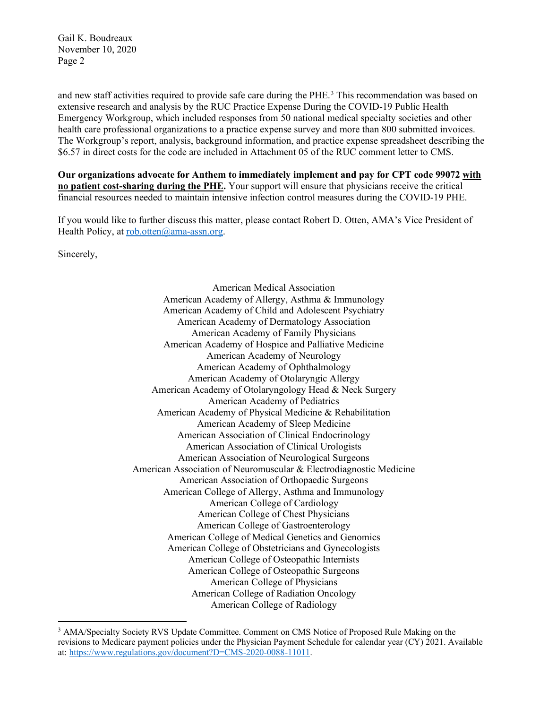Gail K. Boudreaux November 10, 2020 Page 2

and new staff activities required to provide safe care during the PHE. [3](#page-1-0) This recommendation was based on extensive research and analysis by the RUC Practice Expense During the COVID-19 Public Health Emergency Workgroup, which included responses from 50 national medical specialty societies and other health care professional organizations to a practice expense survey and more than 800 submitted invoices. The Workgroup's report, analysis, background information, and practice expense spreadsheet describing the \$6.57 in direct costs for the code are included in Attachment 05 of the RUC comment letter to CMS.

**Our organizations advocate for Anthem to immediately implement and pay for CPT code 99072 with no patient cost-sharing during the PHE.** Your support will ensure that physicians receive the critical financial resources needed to maintain intensive infection control measures during the COVID-19 PHE.

If you would like to further discuss this matter, please contact Robert D. Otten, AMA's Vice President of Health Policy, at [rob.otten@ama-assn.org.](mailto:rob.otten@ama-assn.org)

Sincerely,

American Medical Association American Academy of Allergy, Asthma & Immunology American Academy of Child and Adolescent Psychiatry American Academy of Dermatology Association American Academy of Family Physicians American Academy of Hospice and Palliative Medicine American Academy of Neurology American Academy of Ophthalmology American Academy of Otolaryngic Allergy American Academy of Otolaryngology Head & Neck Surgery American Academy of Pediatrics American Academy of Physical Medicine & Rehabilitation American Academy of Sleep Medicine American Association of Clinical Endocrinology American Association of Clinical Urologists American Association of Neurological Surgeons American Association of Neuromuscular & Electrodiagnostic Medicine American Association of Orthopaedic Surgeons American College of Allergy, Asthma and Immunology American College of Cardiology American College of Chest Physicians American College of Gastroenterology American College of Medical Genetics and Genomics American College of Obstetricians and Gynecologists American College of Osteopathic Internists American College of Osteopathic Surgeons American College of Physicians American College of Radiation Oncology American College of Radiology

<span id="page-1-0"></span><sup>&</sup>lt;sup>3</sup> AMA/Specialty Society RVS Update Committee. Comment on CMS Notice of Proposed Rule Making on the revisions to Medicare payment policies under the Physician Payment Schedule for calendar year (CY) 2021. Available at: [https://www.regulations.gov/document?D=CMS-2020-0088-11011.](https://www.regulations.gov/document?D=CMS-2020-0088-11011)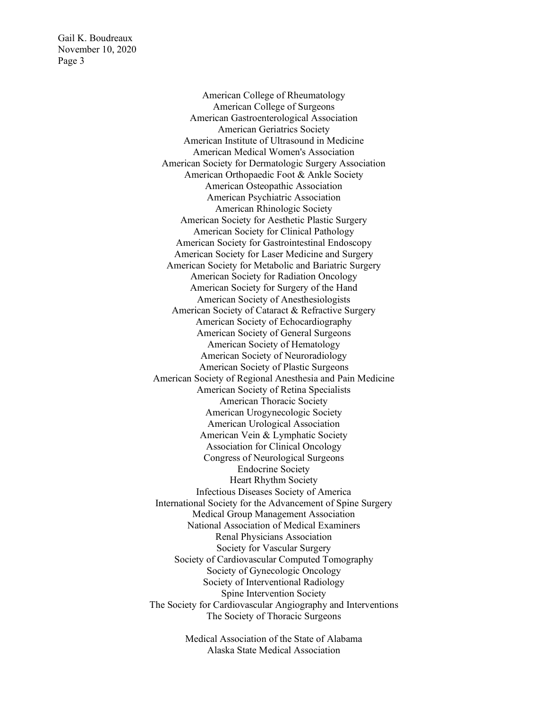Gail K. Boudreaux November 10, 2020 Page 3

> American College of Rheumatology American College of Surgeons American Gastroenterological Association American Geriatrics Society American Institute of Ultrasound in Medicine American Medical Women's Association American Society for Dermatologic Surgery Association American Orthopaedic Foot & Ankle Society American Osteopathic Association American Psychiatric Association American Rhinologic Society American Society for Aesthetic Plastic Surgery American Society for Clinical Pathology American Society for Gastrointestinal Endoscopy American Society for Laser Medicine and Surgery American Society for Metabolic and Bariatric Surgery American Society for Radiation Oncology American Society for Surgery of the Hand American Society of Anesthesiologists American Society of Cataract & Refractive Surgery American Society of Echocardiography American Society of General Surgeons American Society of Hematology American Society of Neuroradiology American Society of Plastic Surgeons American Society of Regional Anesthesia and Pain Medicine American Society of Retina Specialists American Thoracic Society American Urogynecologic Society American Urological Association American Vein & Lymphatic Society Association for Clinical Oncology Congress of Neurological Surgeons Endocrine Society Heart Rhythm Society Infectious Diseases Society of America International Society for the Advancement of Spine Surgery Medical Group Management Association National Association of Medical Examiners Renal Physicians Association Society for Vascular Surgery Society of Cardiovascular Computed Tomography Society of Gynecologic Oncology Society of Interventional Radiology Spine Intervention Society The Society for Cardiovascular Angiography and Interventions The Society of Thoracic Surgeons

> > Medical Association of the State of Alabama Alaska State Medical Association